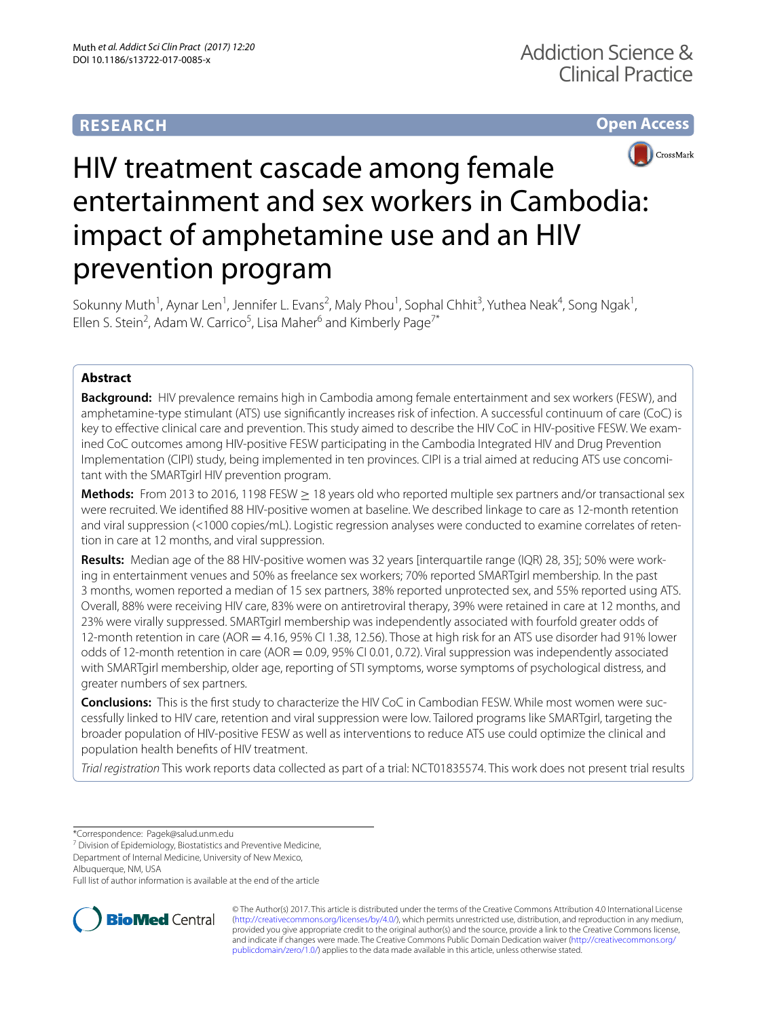# **RESEARCH**





# HIV treatment cascade among female entertainment and sex workers in Cambodia: impact of amphetamine use and an HIV prevention program

Sokunny Muth<sup>1</sup>, Aynar Len<sup>1</sup>, Jennifer L. Evans<sup>2</sup>, Maly Phou<sup>1</sup>, Sophal Chhit<sup>3</sup>, Yuthea Neak<sup>4</sup>, Song Ngak<sup>1</sup>, Ellen S. Stein<sup>2</sup>, Adam W. Carrico<sup>5</sup>, Lisa Maher<sup>6</sup> and Kimberly Page<sup>7\*</sup>

# **Abstract**

**Background:** HIV prevalence remains high in Cambodia among female entertainment and sex workers (FESW), and amphetamine-type stimulant (ATS) use signifcantly increases risk of infection. A successful continuum of care (CoC) is key to efective clinical care and prevention. This study aimed to describe the HIV CoC in HIV-positive FESW. We examined CoC outcomes among HIV-positive FESW participating in the Cambodia Integrated HIV and Drug Prevention Implementation (CIPI) study, being implemented in ten provinces. CIPI is a trial aimed at reducing ATS use concomitant with the SMARTgirl HIV prevention program.

**Methods:** From 2013 to 2016, 1198 FESW > 18 years old who reported multiple sex partners and/or transactional sex were recruited. We identifed 88 HIV-positive women at baseline. We described linkage to care as 12-month retention and viral suppression (<1000 copies/mL). Logistic regression analyses were conducted to examine correlates of retention in care at 12 months, and viral suppression.

**Results:** Median age of the 88 HIV-positive women was 32 years [interquartile range (IQR) 28, 35]; 50% were working in entertainment venues and 50% as freelance sex workers; 70% reported SMARTgirl membership. In the past 3 months, women reported a median of 15 sex partners, 38% reported unprotected sex, and 55% reported using ATS. Overall, 88% were receiving HIV care, 83% were on antiretroviral therapy, 39% were retained in care at 12 months, and 23% were virally suppressed. SMARTgirl membership was independently associated with fourfold greater odds of 12-month retention in care (AOR = 4.16, 95% CI 1.38, 12.56). Those at high risk for an ATS use disorder had 91% lower odds of 12-month retention in care (AOR = 0.09, 95% CI 0.01, 0.72). Viral suppression was independently associated with SMARTgirl membership, older age, reporting of STI symptoms, worse symptoms of psychological distress, and greater numbers of sex partners.

**Conclusions:** This is the frst study to characterize the HIV CoC in Cambodian FESW. While most women were successfully linked to HIV care, retention and viral suppression were low. Tailored programs like SMARTgirl, targeting the broader population of HIV-positive FESW as well as interventions to reduce ATS use could optimize the clinical and population health benefts of HIV treatment.

*Trial registration* This work reports data collected as part of a trial: NCT01835574. This work does not present trial results

\*Correspondence: Pagek@salud.unm.edu

<sup>7</sup> Division of Epidemiology, Biostatistics and Preventive Medicine,

Department of Internal Medicine, University of New Mexico,

Albuquerque, NM, USA

Full list of author information is available at the end of the article



© The Author(s) 2017. This article is distributed under the terms of the Creative Commons Attribution 4.0 International License [\(http://creativecommons.org/licenses/by/4.0/\)](http://creativecommons.org/licenses/by/4.0/), which permits unrestricted use, distribution, and reproduction in any medium, provided you give appropriate credit to the original author(s) and the source, provide a link to the Creative Commons license, and indicate if changes were made. The Creative Commons Public Domain Dedication waiver ([http://creativecommons.org/](http://creativecommons.org/publicdomain/zero/1.0/) [publicdomain/zero/1.0/](http://creativecommons.org/publicdomain/zero/1.0/)) applies to the data made available in this article, unless otherwise stated.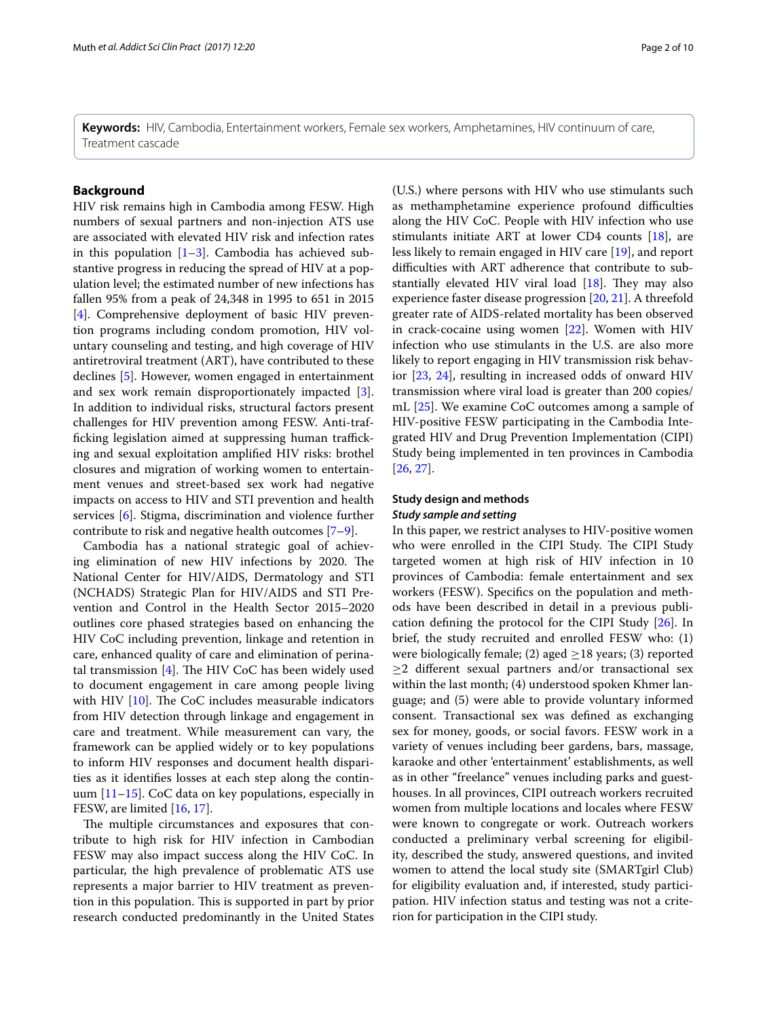**Keywords:** HIV, Cambodia, Entertainment workers, Female sex workers, Amphetamines, HIV continuum of care, Treatment cascade

# **Background**

HIV risk remains high in Cambodia among FESW. High numbers of sexual partners and non-injection ATS use are associated with elevated HIV risk and infection rates in this population  $[1-3]$  $[1-3]$ . Cambodia has achieved substantive progress in reducing the spread of HIV at a population level; the estimated number of new infections has fallen 95% from a peak of 24,348 in 1995 to 651 in 2015 [[4\]](#page-8-2). Comprehensive deployment of basic HIV prevention programs including condom promotion, HIV voluntary counseling and testing, and high coverage of HIV antiretroviral treatment (ART), have contributed to these declines [\[5](#page-8-3)]. However, women engaged in entertainment and sex work remain disproportionately impacted [\[3](#page-8-1)]. In addition to individual risks, structural factors present challenges for HIV prevention among FESW. Anti-trafficking legislation aimed at suppressing human trafficking and sexual exploitation amplifed HIV risks: brothel closures and migration of working women to entertainment venues and street-based sex work had negative impacts on access to HIV and STI prevention and health services [\[6](#page-8-4)]. Stigma, discrimination and violence further contribute to risk and negative health outcomes [[7–](#page-8-5)[9](#page-8-6)].

Cambodia has a national strategic goal of achieving elimination of new HIV infections by 2020. The National Center for HIV/AIDS, Dermatology and STI (NCHADS) Strategic Plan for HIV/AIDS and STI Prevention and Control in the Health Sector 2015–2020 outlines core phased strategies based on enhancing the HIV CoC including prevention, linkage and retention in care, enhanced quality of care and elimination of perinatal transmission  $[4]$  $[4]$ . The HIV CoC has been widely used to document engagement in care among people living with HIV  $[10]$  $[10]$ . The CoC includes measurable indicators from HIV detection through linkage and engagement in care and treatment. While measurement can vary, the framework can be applied widely or to key populations to inform HIV responses and document health disparities as it identifes losses at each step along the continuum [\[11](#page-8-8)[–15](#page-8-9)]. CoC data on key populations, especially in FESW, are limited [[16,](#page-8-10) [17\]](#page-8-11).

The multiple circumstances and exposures that contribute to high risk for HIV infection in Cambodian FESW may also impact success along the HIV CoC. In particular, the high prevalence of problematic ATS use represents a major barrier to HIV treatment as prevention in this population. This is supported in part by prior research conducted predominantly in the United States

(U.S.) where persons with HIV who use stimulants such as methamphetamine experience profound difficulties along the HIV CoC. People with HIV infection who use stimulants initiate ART at lower CD4 counts [\[18](#page-8-12)], are less likely to remain engaged in HIV care [\[19](#page-8-13)], and report difficulties with ART adherence that contribute to substantially elevated HIV viral load  $[18]$  $[18]$ . They may also experience faster disease progression [[20,](#page-9-0) [21\]](#page-9-1). A threefold greater rate of AIDS-related mortality has been observed in crack-cocaine using women [[22\]](#page-9-2). Women with HIV infection who use stimulants in the U.S. are also more likely to report engaging in HIV transmission risk behavior [\[23,](#page-9-3) [24](#page-9-4)], resulting in increased odds of onward HIV transmission where viral load is greater than 200 copies/ mL [[25](#page-9-5)]. We examine CoC outcomes among a sample of HIV-positive FESW participating in the Cambodia Integrated HIV and Drug Prevention Implementation (CIPI) Study being implemented in ten provinces in Cambodia [[26,](#page-9-6) [27](#page-9-7)].

# **Study design and methods** *Study sample and setting*

In this paper, we restrict analyses to HIV-positive women who were enrolled in the CIPI Study. The CIPI Study targeted women at high risk of HIV infection in 10 provinces of Cambodia: female entertainment and sex workers (FESW). Specifcs on the population and methods have been described in detail in a previous publication defning the protocol for the CIPI Study [[26\]](#page-9-6). In brief, the study recruited and enrolled FESW who: (1) were biologically female; (2) aged  $>18$  years; (3) reported  $\geq$ 2 different sexual partners and/or transactional sex within the last month; (4) understood spoken Khmer language; and (5) were able to provide voluntary informed consent. Transactional sex was defned as exchanging sex for money, goods, or social favors. FESW work in a variety of venues including beer gardens, bars, massage, karaoke and other 'entertainment' establishments, as well as in other "freelance" venues including parks and guesthouses. In all provinces, CIPI outreach workers recruited women from multiple locations and locales where FESW were known to congregate or work. Outreach workers conducted a preliminary verbal screening for eligibility, described the study, answered questions, and invited women to attend the local study site (SMARTgirl Club) for eligibility evaluation and, if interested, study participation. HIV infection status and testing was not a criterion for participation in the CIPI study.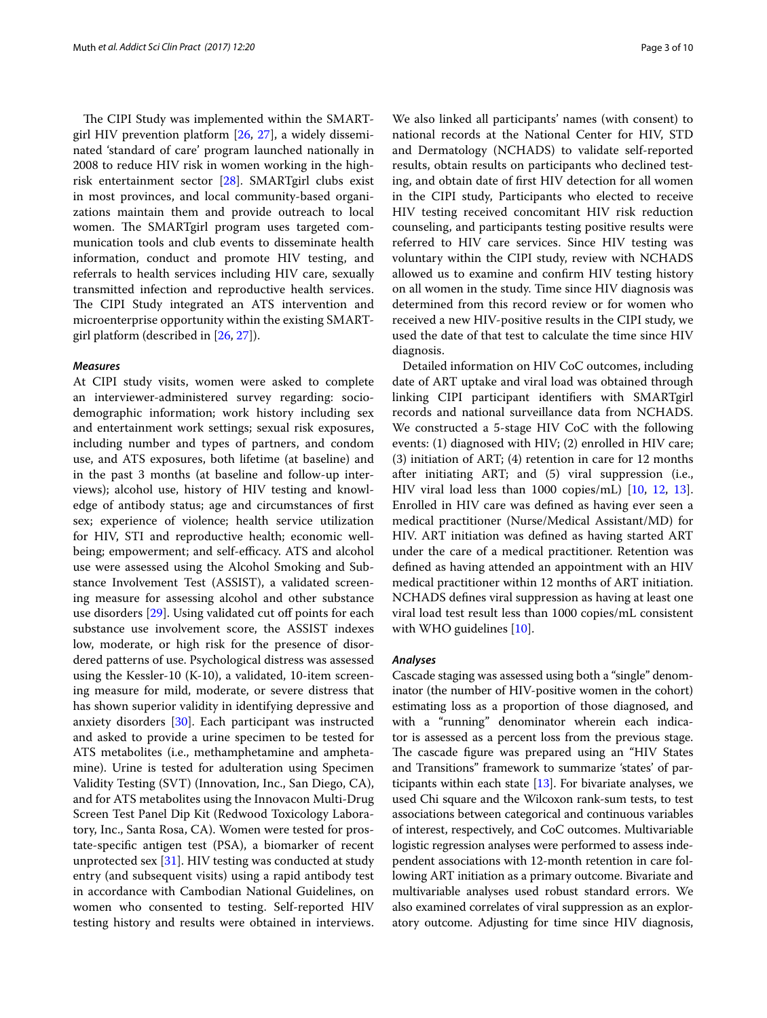The CIPI Study was implemented within the SMARTgirl HIV prevention platform [[26,](#page-9-6) [27\]](#page-9-7), a widely disseminated 'standard of care' program launched nationally in 2008 to reduce HIV risk in women working in the highrisk entertainment sector [[28](#page-9-8)]. SMARTgirl clubs exist in most provinces, and local community-based organizations maintain them and provide outreach to local women. The SMARTgirl program uses targeted communication tools and club events to disseminate health information, conduct and promote HIV testing, and referrals to health services including HIV care, sexually transmitted infection and reproductive health services. The CIPI Study integrated an ATS intervention and microenterprise opportunity within the existing SMARTgirl platform (described in [\[26](#page-9-6), [27](#page-9-7)]).

### *Measures*

At CIPI study visits, women were asked to complete an interviewer-administered survey regarding: sociodemographic information; work history including sex and entertainment work settings; sexual risk exposures, including number and types of partners, and condom use, and ATS exposures, both lifetime (at baseline) and in the past 3 months (at baseline and follow-up interviews); alcohol use, history of HIV testing and knowledge of antibody status; age and circumstances of frst sex; experience of violence; health service utilization for HIV, STI and reproductive health; economic wellbeing; empowerment; and self-efficacy. ATS and alcohol use were assessed using the Alcohol Smoking and Substance Involvement Test (ASSIST), a validated screening measure for assessing alcohol and other substance use disorders  $[29]$  $[29]$  $[29]$ . Using validated cut off points for each substance use involvement score, the ASSIST indexes low, moderate, or high risk for the presence of disordered patterns of use. Psychological distress was assessed using the Kessler-10 (K-10), a validated, 10-item screening measure for mild, moderate, or severe distress that has shown superior validity in identifying depressive and anxiety disorders [[30\]](#page-9-10). Each participant was instructed and asked to provide a urine specimen to be tested for ATS metabolites (i.e., methamphetamine and amphetamine). Urine is tested for adulteration using Specimen Validity Testing (SVT) (Innovation, Inc., San Diego, CA), and for ATS metabolites using the Innovacon Multi-Drug Screen Test Panel Dip Kit (Redwood Toxicology Laboratory, Inc., Santa Rosa, CA). Women were tested for prostate-specifc antigen test (PSA), a biomarker of recent unprotected sex [[31\]](#page-9-11). HIV testing was conducted at study entry (and subsequent visits) using a rapid antibody test in accordance with Cambodian National Guidelines, on women who consented to testing. Self-reported HIV testing history and results were obtained in interviews.

We also linked all participants' names (with consent) to national records at the National Center for HIV, STD and Dermatology (NCHADS) to validate self-reported results, obtain results on participants who declined testing, and obtain date of frst HIV detection for all women in the CIPI study, Participants who elected to receive HIV testing received concomitant HIV risk reduction counseling, and participants testing positive results were referred to HIV care services. Since HIV testing was voluntary within the CIPI study, review with NCHADS allowed us to examine and confrm HIV testing history on all women in the study. Time since HIV diagnosis was determined from this record review or for women who received a new HIV-positive results in the CIPI study, we used the date of that test to calculate the time since HIV diagnosis.

Detailed information on HIV CoC outcomes, including date of ART uptake and viral load was obtained through linking CIPI participant identifers with SMARTgirl records and national surveillance data from NCHADS. We constructed a 5-stage HIV CoC with the following events: (1) diagnosed with HIV; (2) enrolled in HIV care; (3) initiation of ART; (4) retention in care for 12 months after initiating ART; and (5) viral suppression (i.e., HIV viral load less than 1000 copies/mL) [[10](#page-8-7), [12,](#page-8-14) [13](#page-8-15)]. Enrolled in HIV care was defned as having ever seen a medical practitioner (Nurse/Medical Assistant/MD) for HIV. ART initiation was defned as having started ART under the care of a medical practitioner. Retention was defned as having attended an appointment with an HIV medical practitioner within 12 months of ART initiation. NCHADS defnes viral suppression as having at least one viral load test result less than 1000 copies/mL consistent with WHO guidelines [[10\]](#page-8-7).

### *Analyses*

Cascade staging was assessed using both a "single" denominator (the number of HIV-positive women in the cohort) estimating loss as a proportion of those diagnosed, and with a "running" denominator wherein each indicator is assessed as a percent loss from the previous stage. The cascade figure was prepared using an "HIV States and Transitions" framework to summarize 'states' of participants within each state  $[13]$ . For bivariate analyses, we used Chi square and the Wilcoxon rank-sum tests, to test associations between categorical and continuous variables of interest, respectively, and CoC outcomes. Multivariable logistic regression analyses were performed to assess independent associations with 12-month retention in care following ART initiation as a primary outcome. Bivariate and multivariable analyses used robust standard errors. We also examined correlates of viral suppression as an exploratory outcome. Adjusting for time since HIV diagnosis,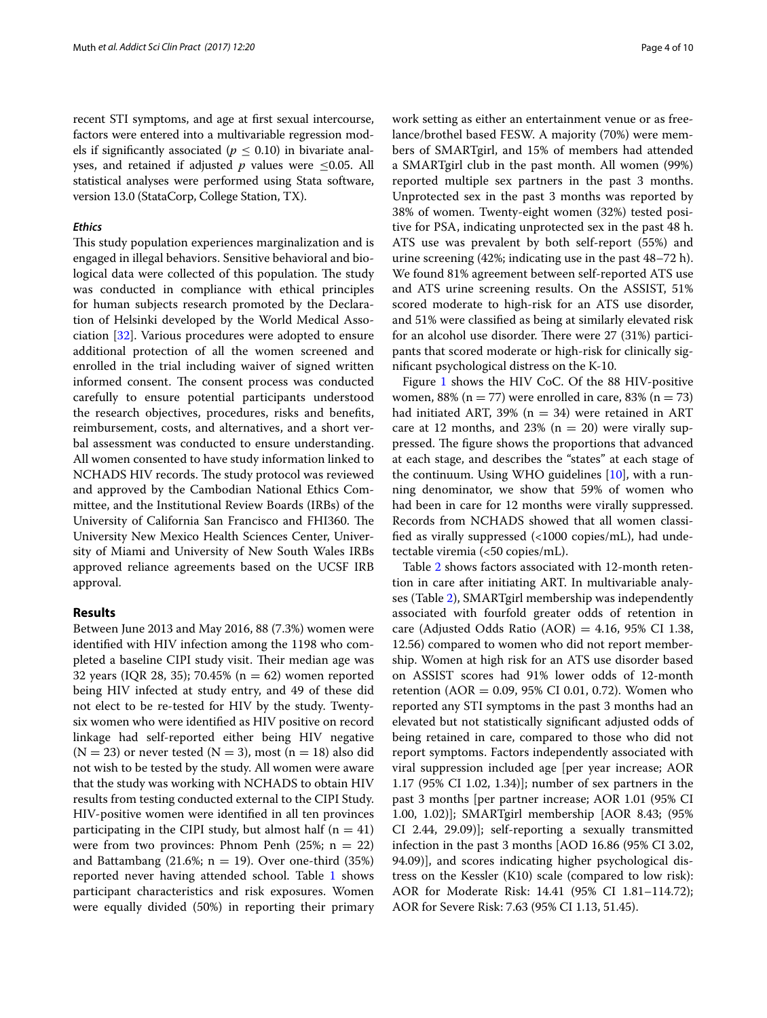recent STI symptoms, and age at frst sexual intercourse, factors were entered into a multivariable regression models if significantly associated ( $p \leq 0.10$ ) in bivariate analyses, and retained if adjusted  $p$  values were  $\leq 0.05$ . All statistical analyses were performed using Stata software, version 13.0 (StataCorp, College Station, TX).

### *Ethics*

This study population experiences marginalization and is engaged in illegal behaviors. Sensitive behavioral and biological data were collected of this population. The study was conducted in compliance with ethical principles for human subjects research promoted by the Declaration of Helsinki developed by the World Medical Association [\[32\]](#page-9-12). Various procedures were adopted to ensure additional protection of all the women screened and enrolled in the trial including waiver of signed written informed consent. The consent process was conducted carefully to ensure potential participants understood the research objectives, procedures, risks and benefts, reimbursement, costs, and alternatives, and a short verbal assessment was conducted to ensure understanding. All women consented to have study information linked to NCHADS HIV records. The study protocol was reviewed and approved by the Cambodian National Ethics Committee, and the Institutional Review Boards (IRBs) of the University of California San Francisco and FHI360. The University New Mexico Health Sciences Center, University of Miami and University of New South Wales IRBs approved reliance agreements based on the UCSF IRB approval.

## **Results**

Between June 2013 and May 2016, 88 (7.3%) women were identifed with HIV infection among the 1198 who completed a baseline CIPI study visit. Their median age was 32 years (IQR 28, 35); 70.45% (n = 62) women reported being HIV infected at study entry, and 49 of these did not elect to be re-tested for HIV by the study. Twentysix women who were identifed as HIV positive on record linkage had self-reported either being HIV negative  $(N = 23)$  or never tested  $(N = 3)$ , most  $(n = 18)$  also did not wish to be tested by the study. All women were aware that the study was working with NCHADS to obtain HIV results from testing conducted external to the CIPI Study. HIV-positive women were identifed in all ten provinces participating in the CIPI study, but almost half  $(n = 41)$ were from two provinces: Phnom Penh  $(25\%)$ ; n = 22) and Battambang (21.6%;  $n = 19$ ). Over one-third (35%) reported never having attended school. Table [1](#page-4-0) shows participant characteristics and risk exposures. Women were equally divided (50%) in reporting their primary work setting as either an entertainment venue or as freelance/brothel based FESW. A majority (70%) were members of SMARTgirl, and 15% of members had attended a SMARTgirl club in the past month. All women (99%) reported multiple sex partners in the past 3 months. Unprotected sex in the past 3 months was reported by 38% of women. Twenty-eight women (32%) tested positive for PSA, indicating unprotected sex in the past 48 h. ATS use was prevalent by both self-report (55%) and urine screening (42%; indicating use in the past 48–72 h). We found 81% agreement between self-reported ATS use and ATS urine screening results. On the ASSIST, 51% scored moderate to high-risk for an ATS use disorder, and 51% were classifed as being at similarly elevated risk for an alcohol use disorder. There were  $27$   $(31%)$  participants that scored moderate or high-risk for clinically signifcant psychological distress on the K-10.

Figure [1](#page-5-0) shows the HIV CoC. Of the 88 HIV-positive women, 88% (n = 77) were enrolled in care, 83% (n = 73) had initiated ART, 39% ( $n = 34$ ) were retained in ART care at 12 months, and 23% ( $n = 20$ ) were virally suppressed. The figure shows the proportions that advanced at each stage, and describes the "states" at each stage of the continuum. Using WHO guidelines [\[10](#page-8-7)], with a running denominator, we show that 59% of women who had been in care for 12 months were virally suppressed. Records from NCHADS showed that all women classifed as virally suppressed (<1000 copies/mL), had undetectable viremia (<50 copies/mL).

Table [2](#page-6-0) shows factors associated with 12-month retention in care after initiating ART. In multivariable analyses (Table [2\)](#page-6-0), SMARTgirl membership was independently associated with fourfold greater odds of retention in care (Adjusted Odds Ratio  $(AOR) = 4.16$ , 95% CI 1.38, 12.56) compared to women who did not report membership. Women at high risk for an ATS use disorder based on ASSIST scores had 91% lower odds of 12-month retention ( $AOR = 0.09$ , 95% CI 0.01, 0.72). Women who reported any STI symptoms in the past 3 months had an elevated but not statistically signifcant adjusted odds of being retained in care, compared to those who did not report symptoms. Factors independently associated with viral suppression included age [per year increase; AOR 1.17 (95% CI 1.02, 1.34)]; number of sex partners in the past 3 months [per partner increase; AOR 1.01 (95% CI 1.00, 1.02)]; SMARTgirl membership [AOR 8.43; (95% CI 2.44, 29.09)]; self-reporting a sexually transmitted infection in the past 3 months [AOD 16.86 (95% CI 3.02, 94.09)], and scores indicating higher psychological distress on the Kessler (K10) scale (compared to low risk): AOR for Moderate Risk: 14.41 (95% CI 1.81–114.72); AOR for Severe Risk: 7.63 (95% CI 1.13, 51.45).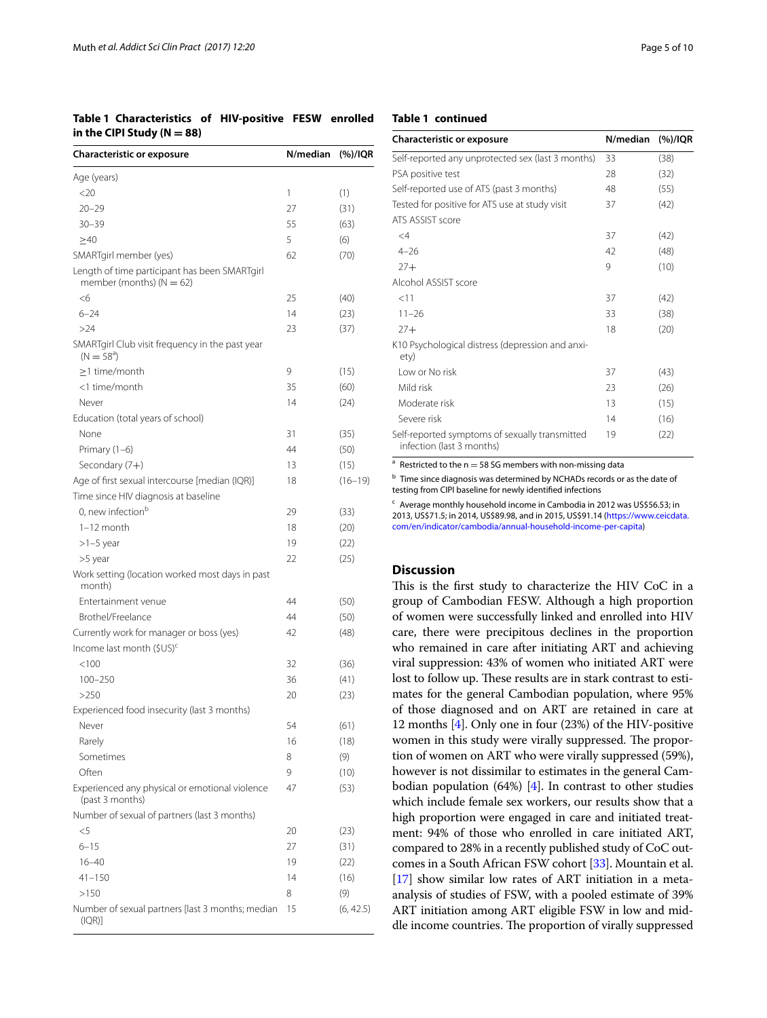# <span id="page-4-0"></span>**Table 1 Characteristics of HIV-positive FESW enrolled**  in the CIPI Study  $(N = 88)$

| <b>Characteristic or exposure</b>                                             | N/median | (%)/IQR     |
|-------------------------------------------------------------------------------|----------|-------------|
| Age (years)                                                                   |          |             |
| $<$ 20                                                                        | 1        | (1)         |
| $20 - 29$                                                                     | 27       | (31)        |
| $30 - 39$                                                                     | 55       | (63)        |
| >40                                                                           | 5        | (6)         |
| SMARTgirl member (yes)                                                        | 62       | (70)        |
| Length of time participant has been SMARTgirl<br>member (months) ( $N = 62$ ) |          |             |
| <6                                                                            | 25       | (40)        |
| $6 - 24$                                                                      | 14       | (23)        |
| >24                                                                           | 23       | (37)        |
| SMARTgirl Club visit frequency in the past year<br>$(N = 58^{\circ})$         |          |             |
| $\geq$ 1 time/month                                                           | 9        | (15)        |
| <1 time/month                                                                 | 35       | (60)        |
| Never                                                                         | 14       | (24)        |
| Education (total years of school)                                             |          |             |
| None                                                                          | 31       | (35)        |
| Primary (1-6)                                                                 | 44       | (50)        |
| Secondary (7+)                                                                | 13       | (15)        |
| Age of first sexual intercourse [median (IQR)]                                | 18       | $(16 - 19)$ |
| Time since HIV diagnosis at baseline                                          |          |             |
| 0, new infection <sup>b</sup>                                                 | 29       | (33)        |
| $1-12$ month                                                                  | 18       | (20)        |
| $>1-5$ year                                                                   | 19       | (22)        |
| >5 year                                                                       | 22       | (25)        |
| Work setting (location worked most days in past<br>month)                     |          |             |
| Entertainment venue                                                           | 44       | (50)        |
| Brothel/Freelance                                                             | 44       | (50)        |
| Currently work for manager or boss (yes)                                      | 42       | (48)        |
| Income last month $(\xi \cup S)^c$                                            |          |             |
| <100                                                                          | 32       | (36)        |
| 100-250                                                                       | 36       | (41)        |
| >250                                                                          | 20       | (23)        |
| Experienced food insecurity (last 3 months)                                   |          |             |
| Never                                                                         | 54       | (61)        |
| Rarely                                                                        | 16       | (18)        |
| Sometimes                                                                     | 8        | (9)         |
| Often                                                                         | 9        | (10)        |
| Experienced any physical or emotional violence<br>(past 3 months)             | 47       | (53)        |
| Number of sexual of partners (last 3 months)                                  |          |             |
| $<$ 5                                                                         | 20       | (23)        |
| $6 - 15$                                                                      | 27       | (31)        |
| $16 - 40$                                                                     | 19       | (22)        |
| $41 - 150$                                                                    | 14       | (16)        |
| >150                                                                          | 8        | (9)         |
| Number of sexual partners [last 3 months; median<br>(IQR)]                    | 15       | (6, 42.5)   |

# **Table 1 continued**

| <b>Characteristic or exposure</b>                                           | N/median | (%)/IQR |
|-----------------------------------------------------------------------------|----------|---------|
| Self-reported any unprotected sex (last 3 months)                           | 33       | (38)    |
| PSA positive test                                                           | 28       | (32)    |
| Self-reported use of ATS (past 3 months)                                    | 48       | (55)    |
| Tested for positive for ATS use at study visit                              | 37       | (42)    |
| ATS ASSIST score                                                            |          |         |
| $\lt$ 4                                                                     | 37       | (42)    |
| $4 - 26$                                                                    | 42       | (48)    |
| $27+$                                                                       | 9        | (10)    |
| Alcohol ASSIST score                                                        |          |         |
| $<$ 11                                                                      | 37       | (42)    |
| $11 - 26$                                                                   | 33       | (38)    |
| $27+$                                                                       | 18       | (20)    |
| K10 Psychological distress (depression and anxi-<br>ety)                    |          |         |
| Low or No risk                                                              | 37       | (43)    |
| Mild risk                                                                   | 23       | (26)    |
| Moderate risk                                                               | 13       | (15)    |
| Severe risk                                                                 | 14       | (16)    |
| Self-reported symptoms of sexually transmitted<br>infection (last 3 months) | 19       | (22)    |

 $a$  Restricted to the n = 58 SG members with non-missing data

b Time since diagnosis was determined by NCHADs records or as the date of testing from CIPI baseline for newly identifed infections

<sup>c</sup> Average monthly household income in Cambodia in 2012 was US\$56.53; in 2013, US\$71.5; in 2014, US\$89.98, and in 2015, US\$91.14 [\(https://www.ceicdata.](https://www.ceicdata.com/en/indicator/cambodia/annual-household-income-per-capita) [com/en/indicator/cambodia/annual-household-income-per-capita](https://www.ceicdata.com/en/indicator/cambodia/annual-household-income-per-capita))

### **Discussion**

This is the first study to characterize the HIV CoC in a group of Cambodian FESW. Although a high proportion of women were successfully linked and enrolled into HIV care, there were precipitous declines in the proportion who remained in care after initiating ART and achieving viral suppression: 43% of women who initiated ART were lost to follow up. These results are in stark contrast to estimates for the general Cambodian population, where 95% of those diagnosed and on ART are retained in care at 12 months [\[4](#page-8-2)]. Only one in four (23%) of the HIV-positive women in this study were virally suppressed. The proportion of women on ART who were virally suppressed (59%), however is not dissimilar to estimates in the general Cambodian population  $(64%)$  [\[4](#page-8-2)]. In contrast to other studies which include female sex workers, our results show that a high proportion were engaged in care and initiated treatment: 94% of those who enrolled in care initiated ART, compared to 28% in a recently published study of CoC outcomes in a South African FSW cohort [[33](#page-9-13)]. Mountain et al. [[17](#page-8-11)] show similar low rates of ART initiation in a metaanalysis of studies of FSW, with a pooled estimate of 39% ART initiation among ART eligible FSW in low and middle income countries. The proportion of virally suppressed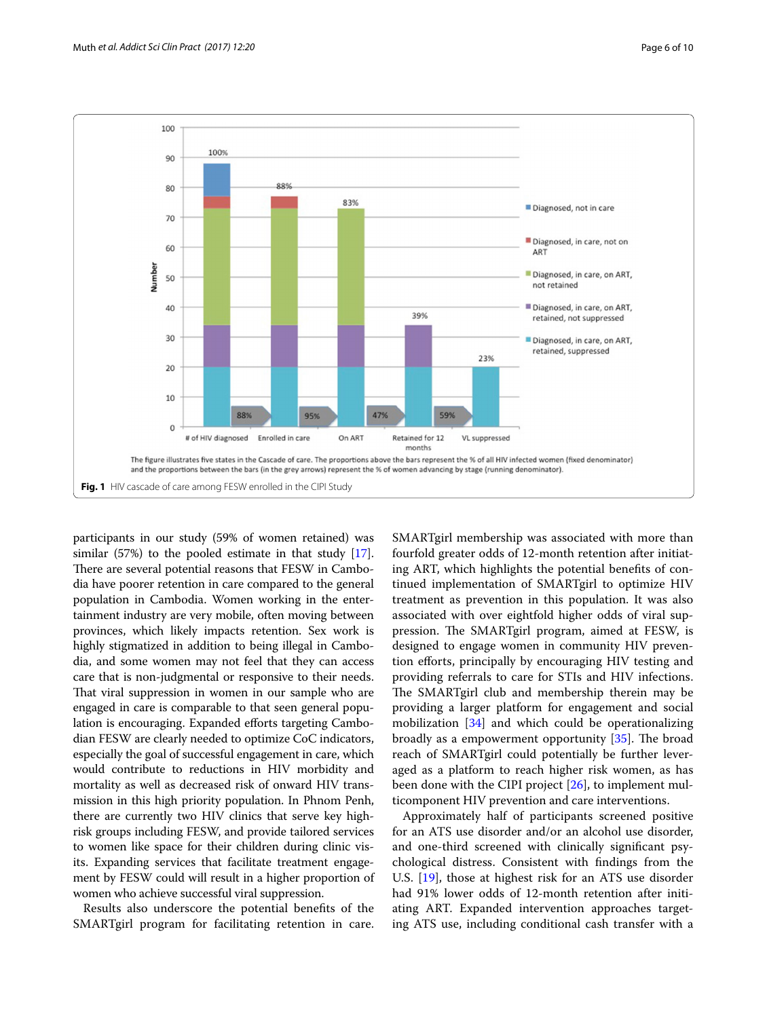

<span id="page-5-0"></span>participants in our study (59% of women retained) was similar (57%) to the pooled estimate in that study [[17](#page-8-11)]. There are several potential reasons that FESW in Cambodia have poorer retention in care compared to the general population in Cambodia. Women working in the entertainment industry are very mobile, often moving between provinces, which likely impacts retention. Sex work is highly stigmatized in addition to being illegal in Cambodia, and some women may not feel that they can access care that is non-judgmental or responsive to their needs. That viral suppression in women in our sample who are engaged in care is comparable to that seen general population is encouraging. Expanded efforts targeting Cambodian FESW are clearly needed to optimize CoC indicators, especially the goal of successful engagement in care, which would contribute to reductions in HIV morbidity and mortality as well as decreased risk of onward HIV transmission in this high priority population. In Phnom Penh, there are currently two HIV clinics that serve key highrisk groups including FESW, and provide tailored services to women like space for their children during clinic visits. Expanding services that facilitate treatment engagement by FESW could will result in a higher proportion of women who achieve successful viral suppression.

Results also underscore the potential benefts of the SMARTgirl program for facilitating retention in care.

SMARTgirl membership was associated with more than fourfold greater odds of 12-month retention after initiating ART, which highlights the potential benefts of continued implementation of SMARTgirl to optimize HIV treatment as prevention in this population. It was also associated with over eightfold higher odds of viral suppression. The SMARTgirl program, aimed at FESW, is designed to engage women in community HIV prevention eforts, principally by encouraging HIV testing and providing referrals to care for STIs and HIV infections. The SMARTgirl club and membership therein may be providing a larger platform for engagement and social mobilization [\[34](#page-9-14)] and which could be operationalizing broadly as a empowerment opportunity  $[35]$  $[35]$ . The broad reach of SMARTgirl could potentially be further leveraged as a platform to reach higher risk women, as has been done with the CIPI project [\[26\]](#page-9-6), to implement multicomponent HIV prevention and care interventions.

Approximately half of participants screened positive for an ATS use disorder and/or an alcohol use disorder, and one-third screened with clinically signifcant psychological distress. Consistent with fndings from the U.S. [\[19\]](#page-8-13), those at highest risk for an ATS use disorder had 91% lower odds of 12-month retention after initiating ART. Expanded intervention approaches targeting ATS use, including conditional cash transfer with a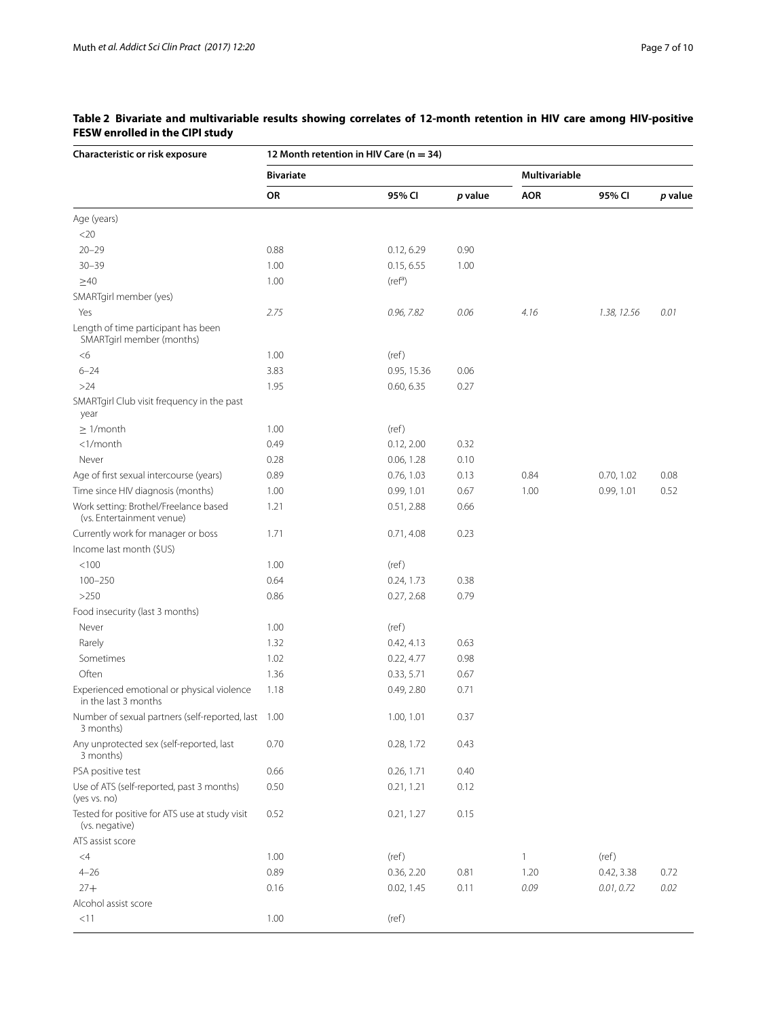# <span id="page-6-0"></span>**Table 2 Bivariate and multivariable results showing correlates of 12-month retention in HIV care among HIV-positive FESW enrolled in the CIPI study**

| Characteristic or risk exposure                                    | 12 Month retention in HIV Care ( $n = 34$ ) |                     |         |               |             |         |  |
|--------------------------------------------------------------------|---------------------------------------------|---------------------|---------|---------------|-------------|---------|--|
|                                                                    | <b>Bivariate</b>                            |                     |         | Multivariable |             |         |  |
|                                                                    | OR                                          | 95% CI              | p value | <b>AOR</b>    | 95% CI      | p value |  |
| Age (years)                                                        |                                             |                     |         |               |             |         |  |
| $<$ 20                                                             |                                             |                     |         |               |             |         |  |
| $20 - 29$                                                          | 0.88                                        | 0.12, 6.29          | 0.90    |               |             |         |  |
| $30 - 39$                                                          | 1.00                                        | 0.15, 6.55          | 1.00    |               |             |         |  |
| $\geq 40$                                                          | 1.00                                        | (ref <sup>a</sup> ) |         |               |             |         |  |
| SMARTgirl member (yes)                                             |                                             |                     |         |               |             |         |  |
| Yes                                                                | 2.75                                        | 0.96, 7.82          | 0.06    | 4.16          | 1.38, 12.56 | 0.01    |  |
| Length of time participant has been<br>SMARTgirl member (months)   |                                             |                     |         |               |             |         |  |
| <6                                                                 | 1.00                                        | (ref)               |         |               |             |         |  |
| $6 - 24$                                                           | 3.83                                        | 0.95, 15.36         | 0.06    |               |             |         |  |
| >24                                                                | 1.95                                        | 0.60, 6.35          | 0.27    |               |             |         |  |
| SMARTgirl Club visit frequency in the past<br>year                 |                                             |                     |         |               |             |         |  |
| $\geq$ 1/month                                                     | 1.00                                        | (ref)               |         |               |             |         |  |
| <1/month                                                           | 0.49                                        | 0.12, 2.00          | 0.32    |               |             |         |  |
| Never                                                              | 0.28                                        | 0.06, 1.28          | 0.10    |               |             |         |  |
| Age of first sexual intercourse (years)                            | 0.89                                        | 0.76, 1.03          | 0.13    | 0.84          | 0.70, 1.02  | 0.08    |  |
| Time since HIV diagnosis (months)                                  | 1.00                                        | 0.99, 1.01          | 0.67    | 1.00          | 0.99, 1.01  | 0.52    |  |
| Work setting: Brothel/Freelance based<br>(vs. Entertainment venue) | 1.21                                        | 0.51, 2.88          | 0.66    |               |             |         |  |
| Currently work for manager or boss                                 | 1.71                                        | 0.71, 4.08          | 0.23    |               |             |         |  |
| Income last month (\$US)                                           |                                             |                     |         |               |             |         |  |
| < 100                                                              | 1.00                                        | (ref)               |         |               |             |         |  |
| $100 - 250$                                                        | 0.64                                        | 0.24, 1.73          | 0.38    |               |             |         |  |
| >250                                                               | 0.86                                        | 0.27, 2.68          | 0.79    |               |             |         |  |
| Food insecurity (last 3 months)                                    |                                             |                     |         |               |             |         |  |
| Never                                                              | 1.00                                        | (ref)               |         |               |             |         |  |
| Rarely                                                             | 1.32                                        | 0.42, 4.13          | 0.63    |               |             |         |  |
| Sometimes                                                          | 1.02                                        | 0.22, 4.77          | 0.98    |               |             |         |  |
| Often                                                              | 1.36                                        | 0.33, 5.71          | 0.67    |               |             |         |  |
| Experienced emotional or physical violence<br>in the last 3 months | 1.18                                        | 0.49, 2.80          | 0.71    |               |             |         |  |
| Number of sexual partners (self-reported, last 1.00<br>3 months)   |                                             | 1.00, 1.01          | 0.37    |               |             |         |  |
| Any unprotected sex (self-reported, last<br>3 months)              | 0.70                                        | 0.28, 1.72          | 0.43    |               |             |         |  |
| PSA positive test                                                  | 0.66                                        | 0.26, 1.71          | 0.40    |               |             |         |  |
| Use of ATS (self-reported, past 3 months)<br>(yes vs. no)          | 0.50                                        | 0.21, 1.21          | 0.12    |               |             |         |  |
| Tested for positive for ATS use at study visit<br>(vs. negative)   | 0.52                                        | 0.21, 1.27          | 0.15    |               |             |         |  |
| ATS assist score                                                   |                                             |                     |         |               |             |         |  |
| $<$ 4                                                              | 1.00                                        | (ref)               |         | $\mathbf{1}$  | (ref)       |         |  |
| $4 - 26$                                                           | 0.89                                        | 0.36, 2.20          | 0.81    | 1.20          | 0.42, 3.38  | 0.72    |  |
| $27 +$                                                             | 0.16                                        | 0.02, 1.45          | 0.11    | 0.09          | 0.01, 0.72  | 0.02    |  |
| Alcohol assist score                                               |                                             |                     |         |               |             |         |  |
| <11                                                                | 1.00                                        | (ref)               |         |               |             |         |  |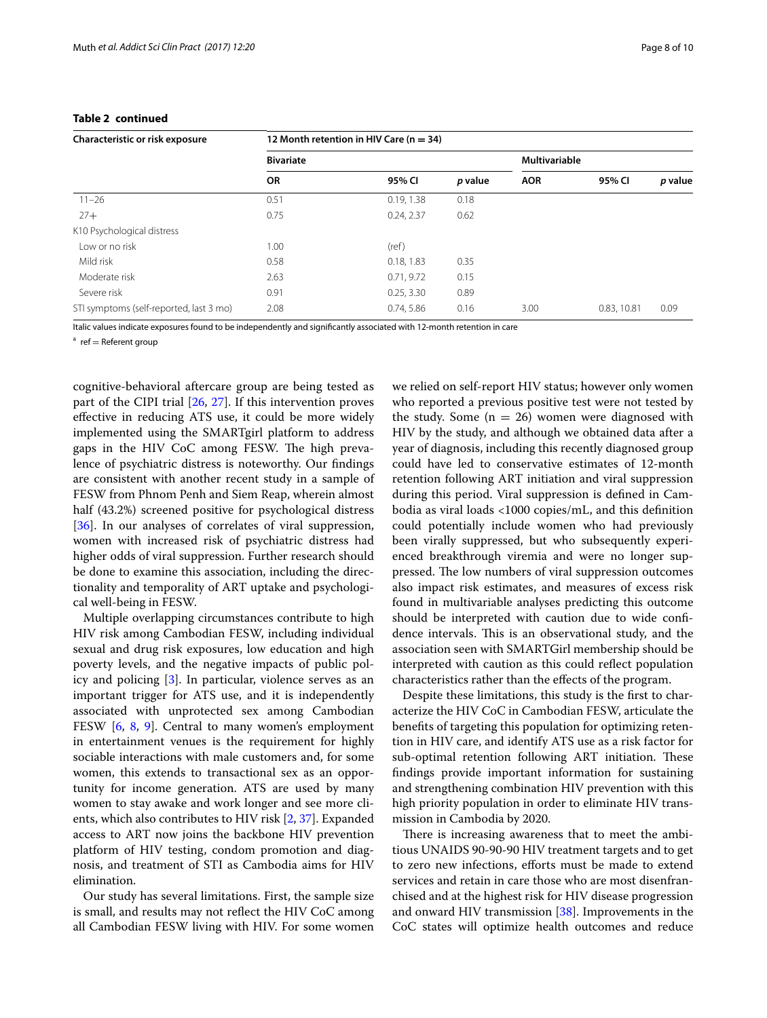| Characteristic or risk exposure         | 12 Month retention in HIV Care ( $n = 34$ ) |            |         |               |             |         |
|-----------------------------------------|---------------------------------------------|------------|---------|---------------|-------------|---------|
|                                         | <b>Bivariate</b>                            |            |         | Multivariable |             |         |
|                                         | <b>OR</b>                                   | 95% CI     | p value | <b>AOR</b>    | 95% CI      | p value |
| $11 - 26$                               | 0.51                                        | 0.19, 1.38 | 0.18    |               |             |         |
| $27+$                                   | 0.75                                        | 0.24, 2.37 | 0.62    |               |             |         |
| K10 Psychological distress              |                                             |            |         |               |             |         |
| Low or no risk                          | 1.00                                        | (ref)      |         |               |             |         |
| Mild risk                               | 0.58                                        | 0.18, 1.83 | 0.35    |               |             |         |
| Moderate risk                           | 2.63                                        | 0.71, 9.72 | 0.15    |               |             |         |
| Severe risk                             | 0.91                                        | 0.25, 3.30 | 0.89    |               |             |         |
| STI symptoms (self-reported, last 3 mo) | 2.08                                        | 0.74, 5.86 | 0.16    | 3.00          | 0.83, 10.81 | 0.09    |

# **Table 2 continued**

Italic values indicate exposures found to be independently and signifcantly associated with 12-month retention in care

 $a$  ref = Referent group

cognitive-behavioral aftercare group are being tested as part of the CIPI trial [\[26,](#page-9-6) [27](#page-9-7)]. If this intervention proves efective in reducing ATS use, it could be more widely implemented using the SMARTgirl platform to address gaps in the HIV CoC among FESW. The high prevalence of psychiatric distress is noteworthy. Our fndings are consistent with another recent study in a sample of FESW from Phnom Penh and Siem Reap, wherein almost half (43.2%) screened positive for psychological distress [[36\]](#page-9-16). In our analyses of correlates of viral suppression, women with increased risk of psychiatric distress had higher odds of viral suppression. Further research should be done to examine this association, including the directionality and temporality of ART uptake and psychological well-being in FESW.

Multiple overlapping circumstances contribute to high HIV risk among Cambodian FESW, including individual sexual and drug risk exposures, low education and high poverty levels, and the negative impacts of public policy and policing [[3\]](#page-8-1). In particular, violence serves as an important trigger for ATS use, and it is independently associated with unprotected sex among Cambodian FESW [[6,](#page-8-4) [8,](#page-8-16) [9](#page-8-6)]. Central to many women's employment in entertainment venues is the requirement for highly sociable interactions with male customers and, for some women, this extends to transactional sex as an opportunity for income generation. ATS are used by many women to stay awake and work longer and see more clients, which also contributes to HIV risk [\[2](#page-8-17), [37](#page-9-17)]. Expanded access to ART now joins the backbone HIV prevention platform of HIV testing, condom promotion and diagnosis, and treatment of STI as Cambodia aims for HIV elimination.

Our study has several limitations. First, the sample size is small, and results may not refect the HIV CoC among all Cambodian FESW living with HIV. For some women we relied on self-report HIV status; however only women who reported a previous positive test were not tested by the study. Some  $(n = 26)$  women were diagnosed with HIV by the study, and although we obtained data after a year of diagnosis, including this recently diagnosed group could have led to conservative estimates of 12-month retention following ART initiation and viral suppression during this period. Viral suppression is defned in Cambodia as viral loads <1000 copies/mL, and this defnition could potentially include women who had previously been virally suppressed, but who subsequently experienced breakthrough viremia and were no longer suppressed. The low numbers of viral suppression outcomes also impact risk estimates, and measures of excess risk found in multivariable analyses predicting this outcome should be interpreted with caution due to wide confdence intervals. This is an observational study, and the association seen with SMARTGirl membership should be interpreted with caution as this could refect population characteristics rather than the efects of the program.

Despite these limitations, this study is the frst to characterize the HIV CoC in Cambodian FESW, articulate the benefts of targeting this population for optimizing retention in HIV care, and identify ATS use as a risk factor for sub-optimal retention following ART initiation. These fndings provide important information for sustaining and strengthening combination HIV prevention with this high priority population in order to eliminate HIV transmission in Cambodia by 2020.

There is increasing awareness that to meet the ambitious UNAIDS 90-90-90 HIV treatment targets and to get to zero new infections, eforts must be made to extend services and retain in care those who are most disenfranchised and at the highest risk for HIV disease progression and onward HIV transmission [[38\]](#page-9-18). Improvements in the CoC states will optimize health outcomes and reduce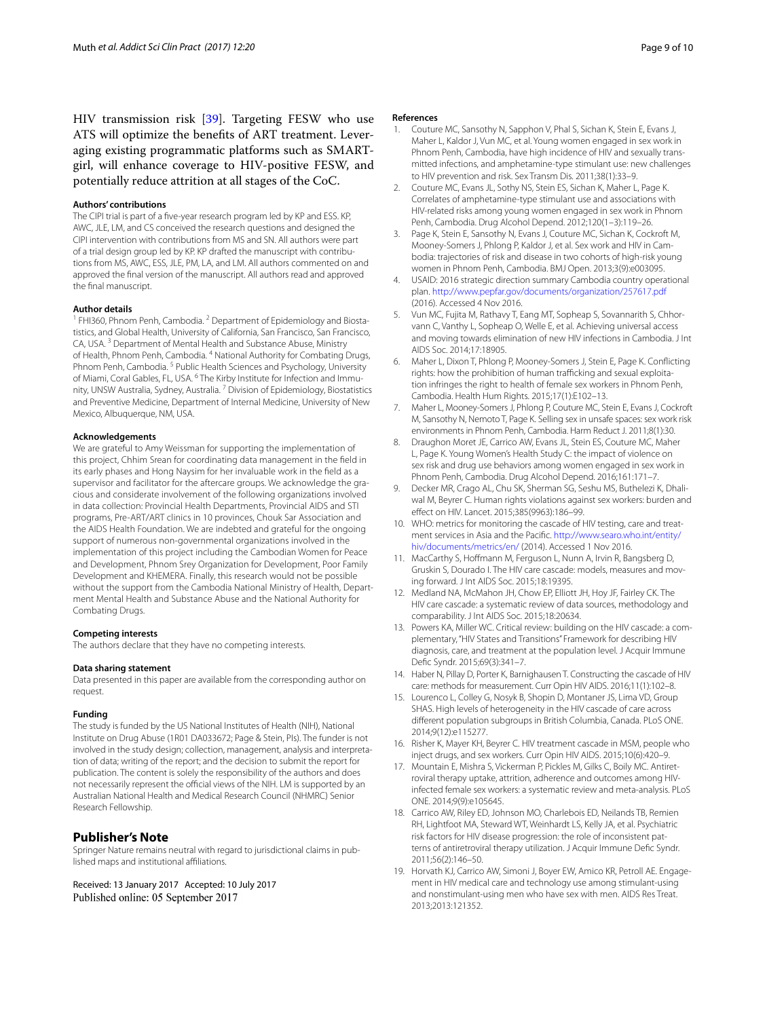HIV transmission risk [[39\]](#page-9-19). Targeting FESW who use ATS will optimize the benefts of ART treatment. Leveraging existing programmatic platforms such as SMARTgirl, will enhance coverage to HIV-positive FESW, and potentially reduce attrition at all stages of the CoC.

#### **Authors' contributions**

The CIPI trial is part of a fve-year research program led by KP and ESS. KP, AWC, JLE, LM, and CS conceived the research questions and designed the CIPI intervention with contributions from MS and SN. All authors were part of a trial design group led by KP. KP drafted the manuscript with contributions from MS, AWC, ESS, JLE, PM, LA, and LM. All authors commented on and approved the fnal version of the manuscript. All authors read and approved the fnal manuscript.

### **Author details**

<sup>1</sup> FHI360, Phnom Penh, Cambodia. <sup>2</sup> Department of Epidemiology and Biostatistics, and Global Health, University of California, San Francisco, San Francisco, CA, USA. 3 Department of Mental Health and Substance Abuse, Ministry of Health, Phnom Penh, Cambodia. <sup>4</sup> National Authority for Combating Drugs, Phnom Penh, Cambodia. 5 Public Health Sciences and Psychology, University of Miami, Coral Gables, FL, USA. 6 The Kirby Institute for Infection and Immunity, UNSW Australia, Sydney, Australia. 7 Division of Epidemiology, Biostatistics and Preventive Medicine, Department of Internal Medicine, University of New Mexico, Albuquerque, NM, USA.

### **Acknowledgements**

We are grateful to Amy Weissman for supporting the implementation of this project, Chhim Srean for coordinating data management in the feld in its early phases and Hong Naysim for her invaluable work in the feld as a supervisor and facilitator for the aftercare groups. We acknowledge the gracious and considerate involvement of the following organizations involved in data collection: Provincial Health Departments, Provincial AIDS and STI programs, Pre-ART/ART clinics in 10 provinces, Chouk Sar Association and the AIDS Health Foundation. We are indebted and grateful for the ongoing support of numerous non-governmental organizations involved in the implementation of this project including the Cambodian Women for Peace and Development, Phnom Srey Organization for Development, Poor Family Development and KHEMERA. Finally, this research would not be possible without the support from the Cambodia National Ministry of Health, Department Mental Health and Substance Abuse and the National Authority for Combating Drugs.

### **Competing interests**

The authors declare that they have no competing interests.

### **Data sharing statement**

Data presented in this paper are available from the corresponding author on request.

#### **Funding**

The study is funded by the US National Institutes of Health (NIH), National Institute on Drug Abuse (1R01 DA033672; Page & Stein, PIs). The funder is not involved in the study design; collection, management, analysis and interpretation of data; writing of the report; and the decision to submit the report for publication. The content is solely the responsibility of the authors and does not necessarily represent the official views of the NIH. LM is supported by an Australian National Health and Medical Research Council (NHMRC) Senior Research Fellowship.

### **Publisher's Note**

Springer Nature remains neutral with regard to jurisdictional claims in published maps and institutional afliations.

Received: 13 January 2017 Accepted: 10 July 2017 Published online: 05 September 2017

#### **References**

- <span id="page-8-0"></span>1. Couture MC, Sansothy N, Sapphon V, Phal S, Sichan K, Stein E, Evans J, Maher L, Kaldor J, Vun MC, et al. Young women engaged in sex work in Phnom Penh, Cambodia, have high incidence of HIV and sexually transmitted infections, and amphetamine-type stimulant use: new challenges to HIV prevention and risk. Sex Transm Dis. 2011;38(1):33–9.
- <span id="page-8-17"></span>2. Couture MC, Evans JL, Sothy NS, Stein ES, Sichan K, Maher L, Page K. Correlates of amphetamine-type stimulant use and associations with HIV-related risks among young women engaged in sex work in Phnom Penh, Cambodia. Drug Alcohol Depend. 2012;120(1–3):119–26.
- <span id="page-8-1"></span>3. Page K, Stein E, Sansothy N, Evans J, Couture MC, Sichan K, Cockroft M, Mooney-Somers J, Phlong P, Kaldor J, et al. Sex work and HIV in Cambodia: trajectories of risk and disease in two cohorts of high-risk young women in Phnom Penh, Cambodia. BMJ Open. 2013;3(9):e003095.
- <span id="page-8-2"></span>4. USAID: 2016 strategic direction summary Cambodia country operational plan. <http://www.pepfar.gov/documents/organization/257617.pdf> (2016). Accessed 4 Nov 2016.
- <span id="page-8-3"></span>Vun MC, Fujita M, Rathavy T, Eang MT, Sopheap S, Sovannarith S, Chhorvann C, Vanthy L, Sopheap O, Welle E, et al. Achieving universal access and moving towards elimination of new HIV infections in Cambodia. J Int AIDS Soc. 2014;17:18905.
- <span id="page-8-4"></span>6. Maher L, Dixon T, Phlong P, Mooney-Somers J, Stein E, Page K. Conficting rights: how the prohibition of human trafficking and sexual exploitation infringes the right to health of female sex workers in Phnom Penh, Cambodia. Health Hum Rights. 2015;17(1):E102–13.
- <span id="page-8-5"></span>7. Maher L, Mooney-Somers J, Phlong P, Couture MC, Stein E, Evans J, Cockroft M, Sansothy N, Nemoto T, Page K. Selling sex in unsafe spaces: sex work risk environments in Phnom Penh, Cambodia. Harm Reduct J. 2011;8(1):30.
- <span id="page-8-16"></span>8. Draughon Moret JE, Carrico AW, Evans JL, Stein ES, Couture MC, Maher L, Page K. Young Women's Health Study C: the impact of violence on sex risk and drug use behaviors among women engaged in sex work in Phnom Penh, Cambodia. Drug Alcohol Depend. 2016;161:171–7.
- <span id="page-8-6"></span>9. Decker MR, Crago AL, Chu SK, Sherman SG, Seshu MS, Buthelezi K, Dhaliwal M, Beyrer C. Human rights violations against sex workers: burden and efect on HIV. Lancet. 2015;385(9963):186–99.
- <span id="page-8-7"></span>10. WHO: metrics for monitoring the cascade of HIV testing, care and treatment services in Asia and the Pacifc. [http://www.searo.who.int/entity/](http://www.searo.who.int/entity/hiv/documents/metrics/en/) [hiv/documents/metrics/en/](http://www.searo.who.int/entity/hiv/documents/metrics/en/) (2014). Accessed 1 Nov 2016.
- <span id="page-8-8"></span>11. MacCarthy S, Hoffmann M, Ferguson L, Nunn A, Irvin R, Bangsberg D, Gruskin S, Dourado I. The HIV care cascade: models, measures and moving forward. J Int AIDS Soc. 2015;18:19395.
- <span id="page-8-14"></span>12. Medland NA, McMahon JH, Chow EP, Elliott JH, Hoy JF, Fairley CK. The HIV care cascade: a systematic review of data sources, methodology and comparability. J Int AIDS Soc. 2015;18:20634.
- <span id="page-8-15"></span>13. Powers KA, Miller WC. Critical review: building on the HIV cascade: a complementary, "HIV States and Transitions" Framework for describing HIV diagnosis, care, and treatment at the population level. J Acquir Immune Defc Syndr. 2015;69(3):341–7.
- 14. Haber N, Pillay D, Porter K, Barnighausen T. Constructing the cascade of HIV care: methods for measurement. Curr Opin HIV AIDS. 2016;11(1):102–8.
- <span id="page-8-9"></span>15. Lourenco L, Colley G, Nosyk B, Shopin D, Montaner JS, Lima VD, Group SHAS. High levels of heterogeneity in the HIV cascade of care across diferent population subgroups in British Columbia, Canada. PLoS ONE. 2014;9(12):e115277.
- <span id="page-8-10"></span>16. Risher K, Mayer KH, Beyrer C. HIV treatment cascade in MSM, people who inject drugs, and sex workers. Curr Opin HIV AIDS. 2015;10(6):420–9.
- <span id="page-8-11"></span>17. Mountain E, Mishra S, Vickerman P, Pickles M, Gilks C, Boily MC. Antiretroviral therapy uptake, attrition, adherence and outcomes among HIVinfected female sex workers: a systematic review and meta-analysis. PLoS ONE. 2014;9(9):e105645.
- <span id="page-8-12"></span>18. Carrico AW, Riley ED, Johnson MO, Charlebois ED, Neilands TB, Remien RH, Lightfoot MA, Steward WT, Weinhardt LS, Kelly JA, et al. Psychiatric risk factors for HIV disease progression: the role of inconsistent patterns of antiretroviral therapy utilization. J Acquir Immune Defc Syndr. 2011;56(2):146–50.
- <span id="page-8-13"></span>19. Horvath KJ, Carrico AW, Simoni J, Boyer EW, Amico KR, Petroll AE. Engagement in HIV medical care and technology use among stimulant-using and nonstimulant-using men who have sex with men. AIDS Res Treat. 2013;2013:121352.